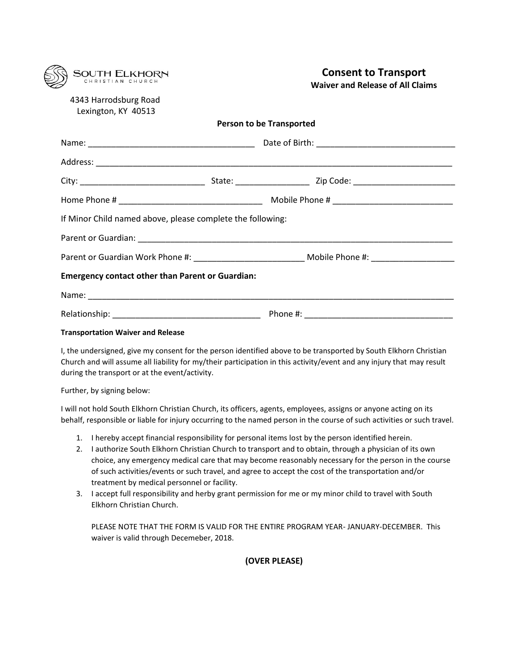| <b>SOUTH ELKHORN</b>                                       |  | <b>Consent to Transport</b><br><b>Waiver and Release of All Claims</b>                               |
|------------------------------------------------------------|--|------------------------------------------------------------------------------------------------------|
| 4343 Harrodsburg Road<br>Lexington, KY 40513               |  |                                                                                                      |
| <b>Person to be Transported</b>                            |  |                                                                                                      |
|                                                            |  |                                                                                                      |
|                                                            |  |                                                                                                      |
|                                                            |  |                                                                                                      |
|                                                            |  |                                                                                                      |
| If Minor Child named above, please complete the following: |  |                                                                                                      |
|                                                            |  |                                                                                                      |
|                                                            |  | Parent or Guardian Work Phone #: __________________________________Mobile Phone #: _________________ |
| <b>Emergency contact other than Parent or Guardian:</b>    |  |                                                                                                      |
|                                                            |  |                                                                                                      |
|                                                            |  |                                                                                                      |

## **Transportation Waiver and Release**

I, the undersigned, give my consent for the person identified above to be transported by South Elkhorn Christian Church and will assume all liability for my/their participation in this activity/event and any injury that may result during the transport or at the event/activity.

Further, by signing below:

I will not hold South Elkhorn Christian Church, its officers, agents, employees, assigns or anyone acting on its behalf, responsible or liable for injury occurring to the named person in the course of such activities or such travel.

- 1. I hereby accept financial responsibility for personal items lost by the person identified herein.
- 2. I authorize South Elkhorn Christian Church to transport and to obtain, through a physician of its own choice, any emergency medical care that may become reasonably necessary for the person in the course of such activities/events or such travel, and agree to accept the cost of the transportation and/or treatment by medical personnel or facility.
- 3. I accept full responsibility and herby grant permission for me or my minor child to travel with South Elkhorn Christian Church.

PLEASE NOTE THAT THE FORM IS VALID FOR THE ENTIRE PROGRAM YEAR- JANUARY-DECEMBER. This waiver is valid through Decemeber, 2018.

## **(OVER PLEASE)**